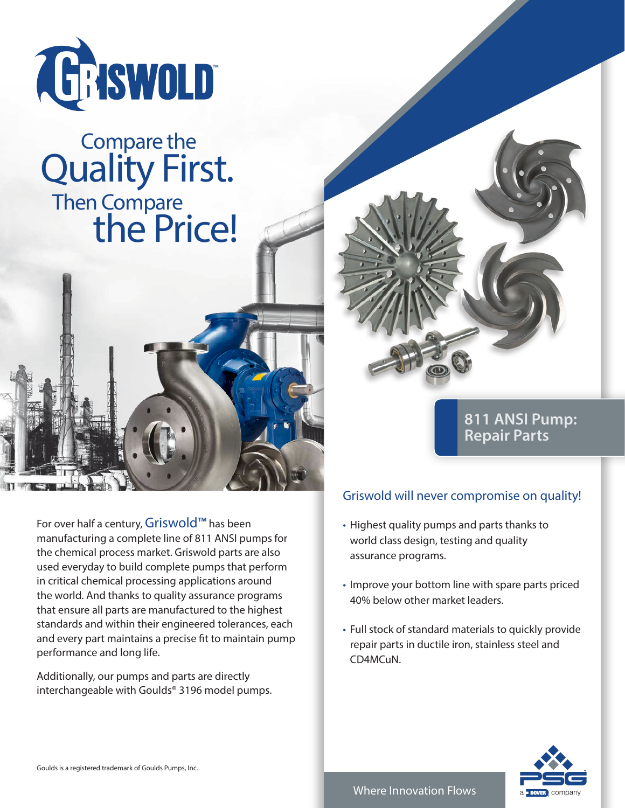

## Then Compare the Price! Compare the **Quality First.**



For over half a century, Griswold™ has been manufacturing a complete line of 811 ANSI pumps for the chemical process market. Griswold parts are also used everyday to build complete pumps that perform in critical chemical processing applications around the world. And thanks to quality assurance programs that ensure all parts are manufactured to the highest standards and within their engineered tolerances, each and every part maintains a precise fit to maintain pump performance and long life.

Additionally, our pumps and parts are directly interchangeable with Goulds® 3196 model pumps.

## **811 ANSI Pump: Repair Parts**

## Griswold will never compromise on quality!

- Highest quality pumps and parts thanks to world class design, testing and quality assurance programs.
- Improve your bottom line with spare parts priced 40% below other market leaders.
- Full stock of standard materials to quickly provide repair parts in ductile iron, stainless steel and CD4MCuN.